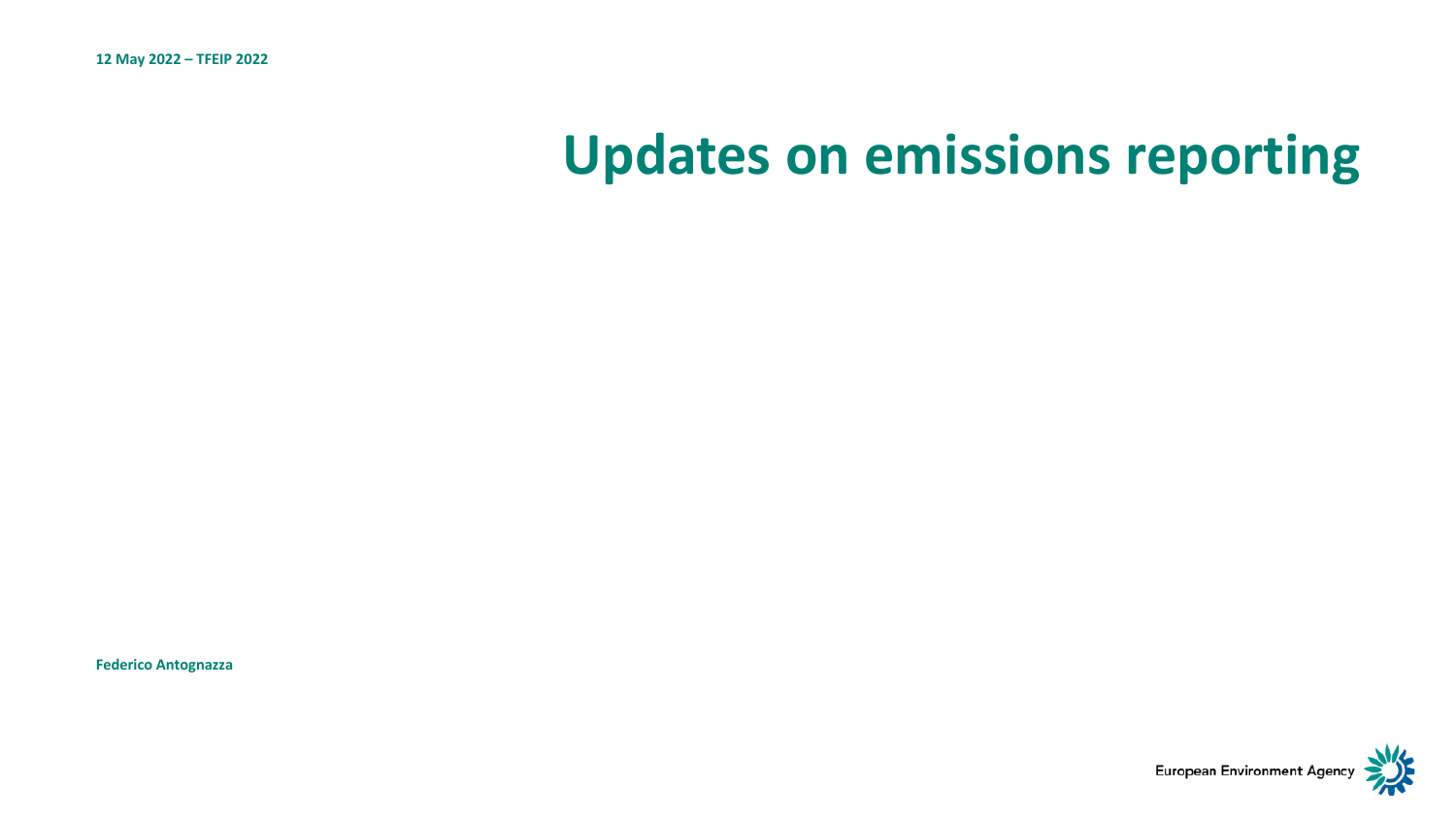# **Updates on emissions reporting**

**Federico Antognazza** 

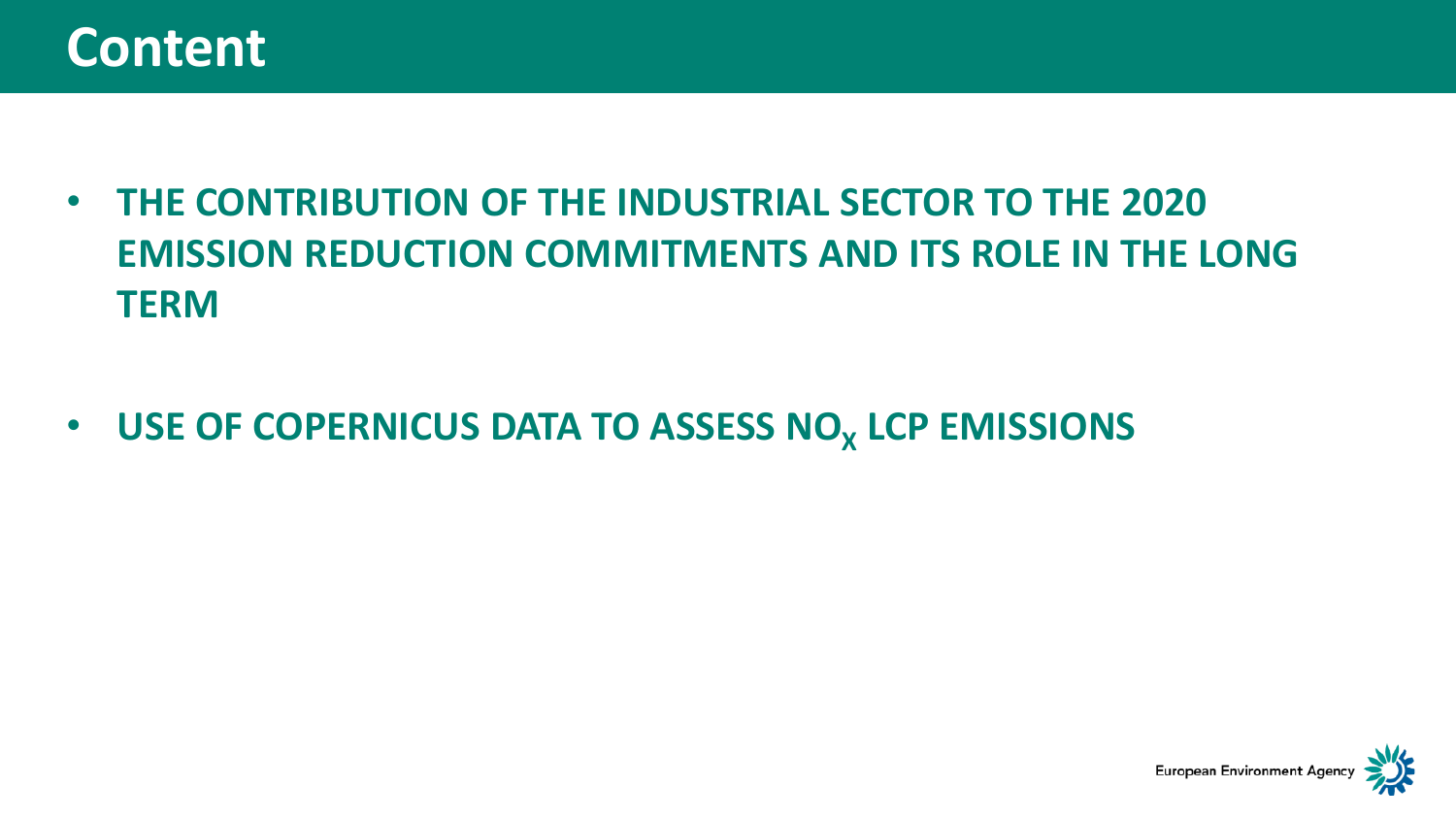### **Content**

- **THE CONTRIBUTION OF THE INDUSTRIAL SECTOR TO THE 2020 EMISSION REDUCTION COMMITMENTS AND ITS ROLE IN THE LONG TERM**
- **USE OF COPERNICUS DATA TO ASSESS NO<sub>X</sub> LCP EMISSIONS**

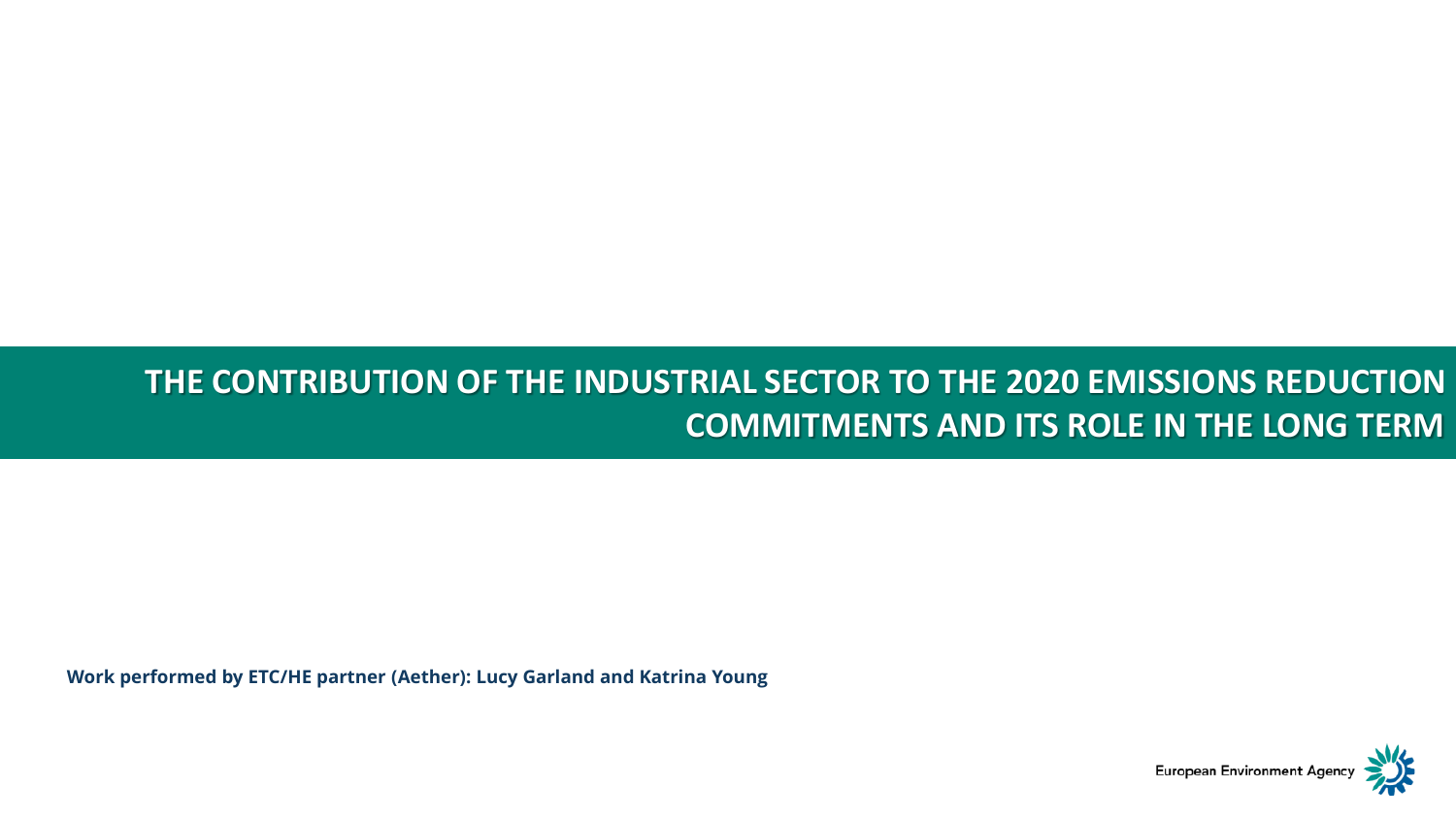#### **THE CONTRIBUTION OF THE INDUSTRIAL SECTOR TO THE 2020 EMISSIONS REDUCTION COMMITMENTS AND ITS ROLE IN THE LONG TERM**

**Work performed by ETC/HE partner (Aether): Lucy Garland and Katrina Young**

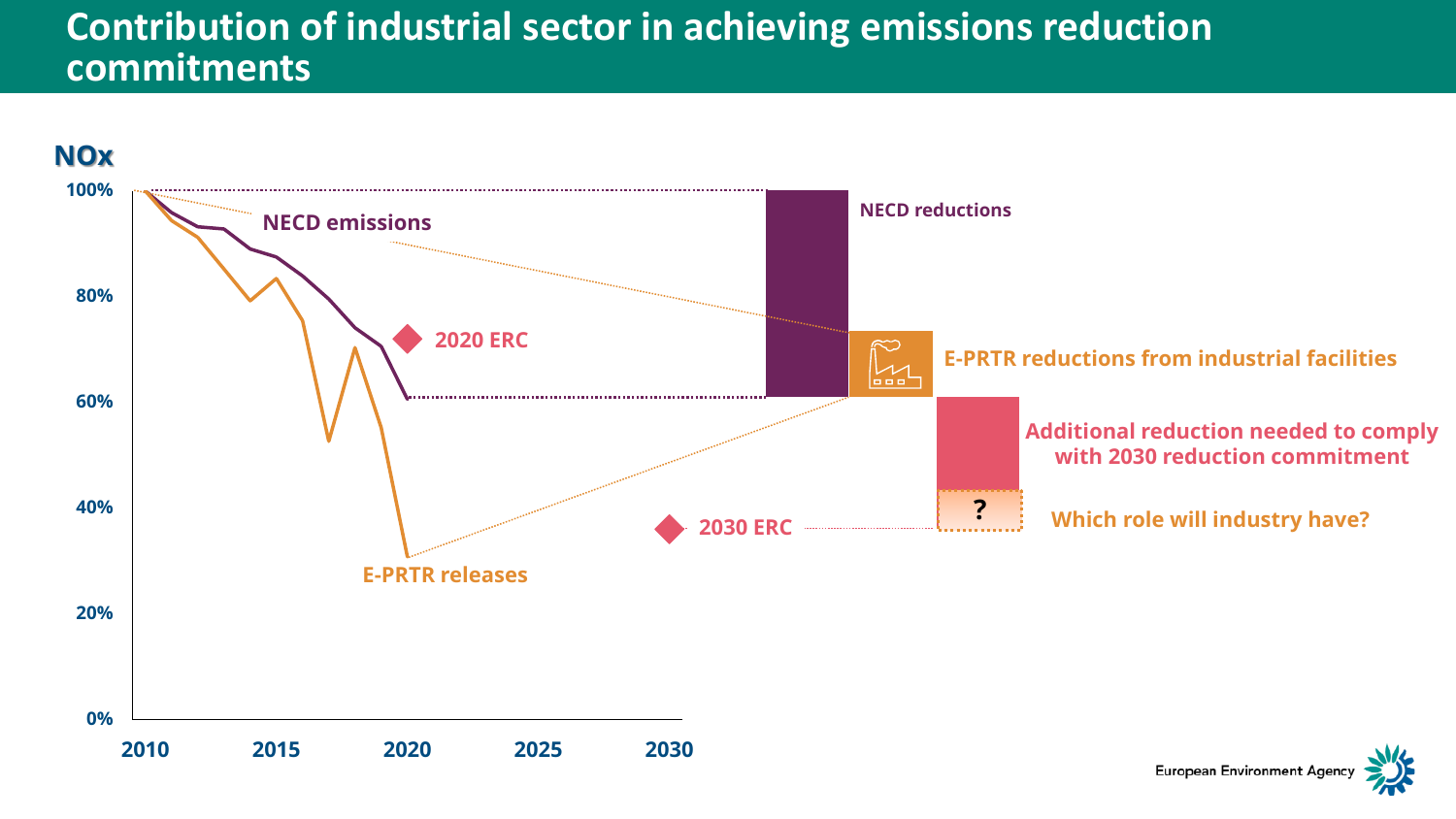#### <span id="page-3-0"></span>**Contributio[n of ind](#page-3-0)ustrial sector in achieving emissions reduction commitments**



**European Environment Agenc**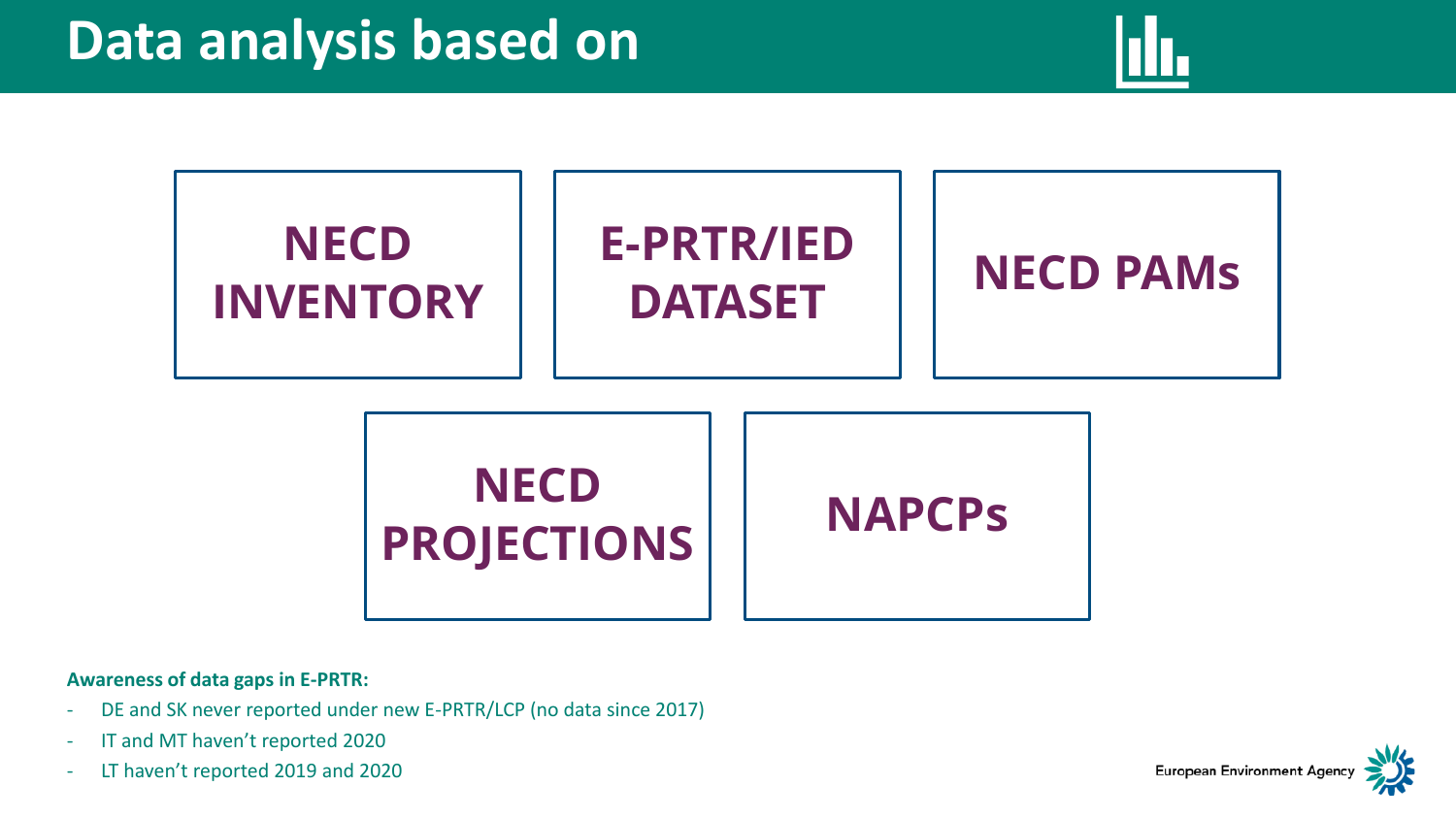





**Awareness of data gaps in E-PRTR:** 

- DE and SK never reported under new E-PRTR/LCP (no data since 2017)
- IT and MT haven't reported 2020
- LT haven't reported 2019 and 2020

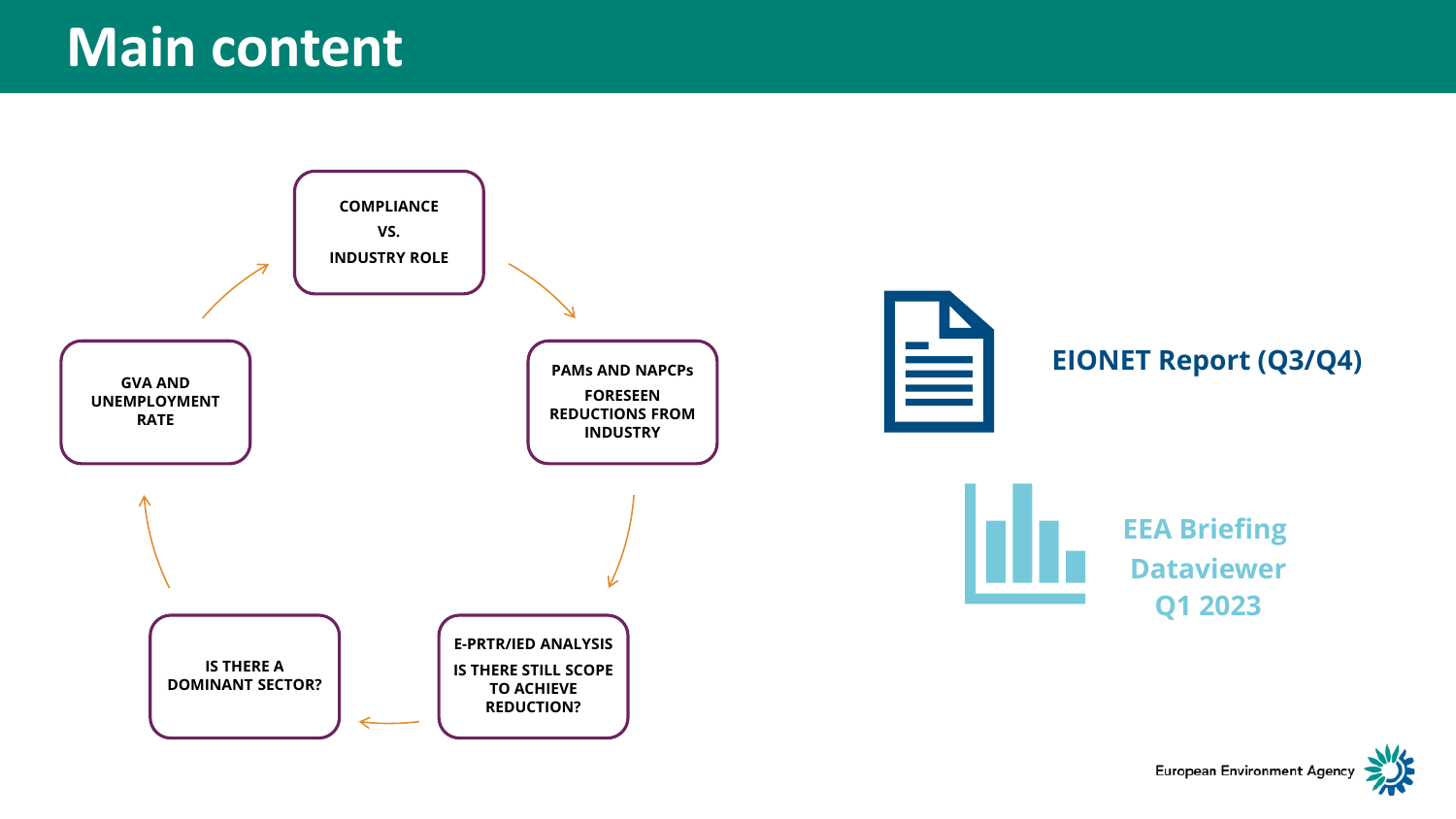

**European Environment Agency**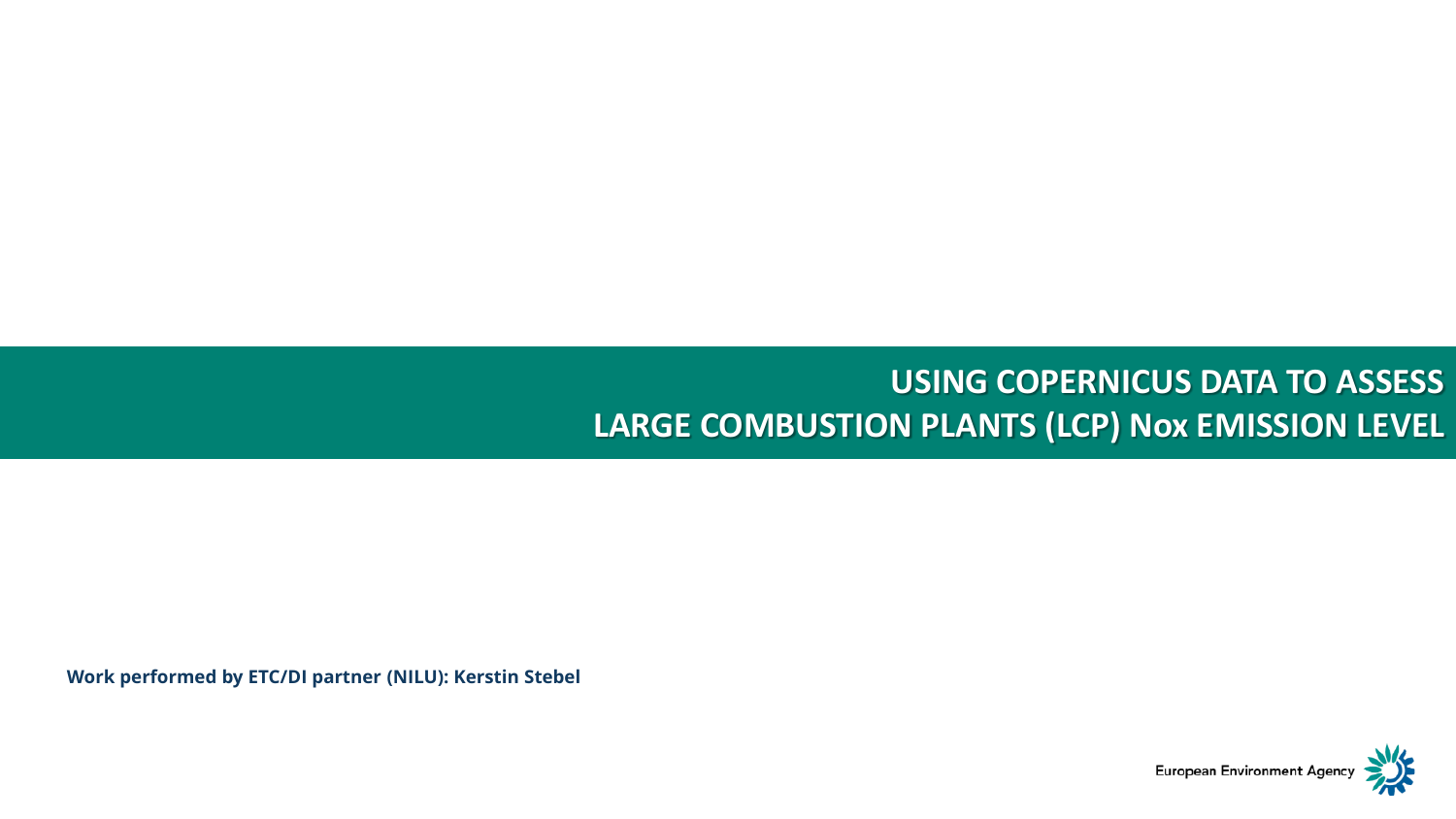#### **USING COPERNICUS DATA TO ASSESS LARGE COMBUSTION PLANTS (LCP) Nox EMISSION LEVEL**

**Work performed by ETC/DI partner (NILU): Kerstin Stebel** 

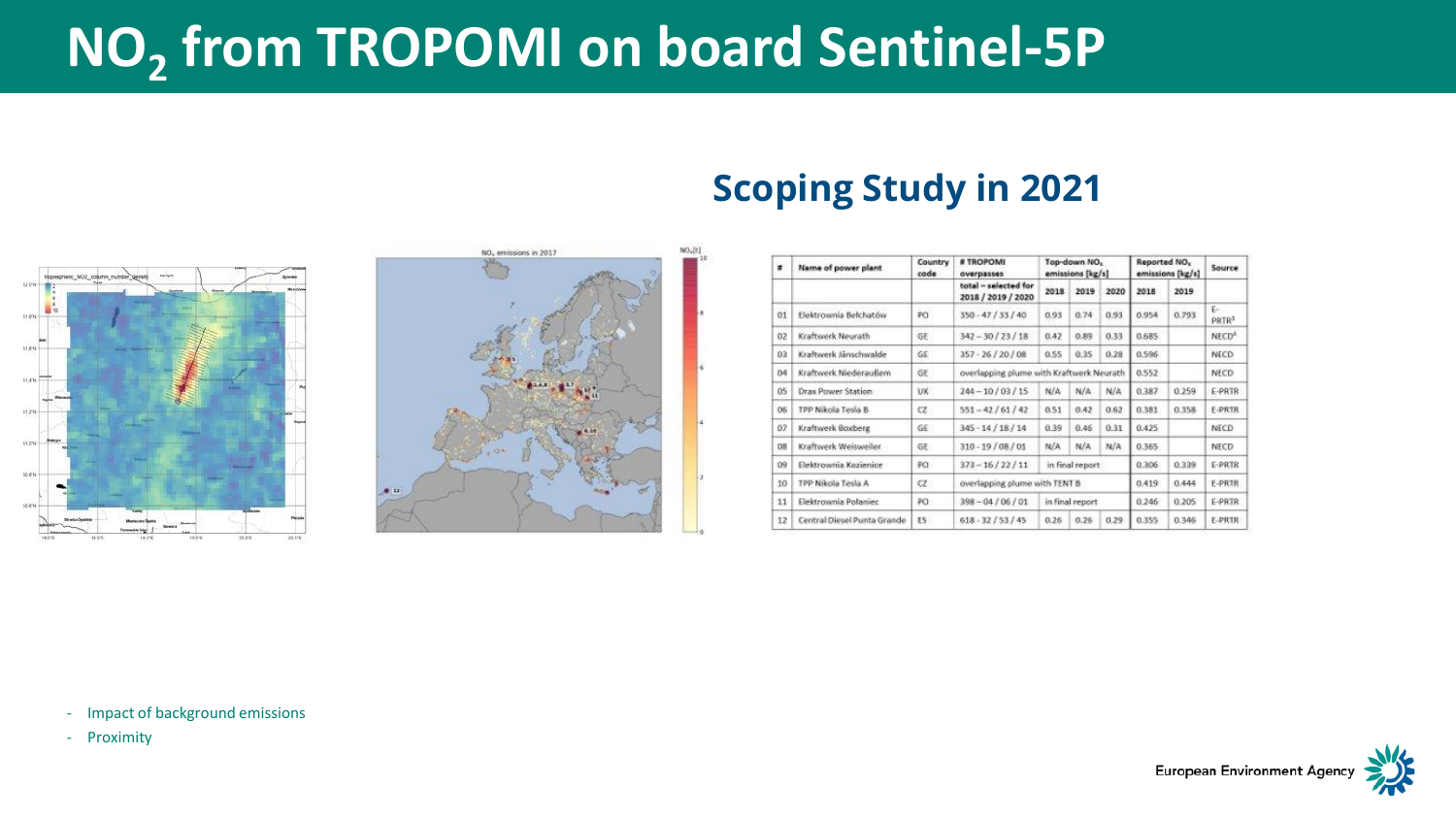# **NO<sup>2</sup> fro[m TRO](#page-3-0)POMI on board Sentinel-5P**





### **Scoping Study in 2021**

| $\overline{a}$ | Name of power plant         | Country<br>cade | # TROPOMI<br>overpasses<br>total - selected for<br>2018 / 2019 / 2020 | Top-down NO.<br>emissions [kg/s] |      |       | Reported NO <sub>x</sub><br>emissions [kg/s] |       | Source                  |
|----------------|-----------------------------|-----------------|-----------------------------------------------------------------------|----------------------------------|------|-------|----------------------------------------------|-------|-------------------------|
|                |                             |                 |                                                                       | 2018                             | 2019 | 2020  | 2018                                         | 2019  |                         |
| 01             | Elektrownia Belchatów       | PO.             | 350 - 47 / 33 / 40                                                    | 0.93                             | 0.74 | 0.93  | 0.954                                        | 0.793 | E-<br>PRTR <sup>3</sup> |
| 02             | Kraftwerk Neurath           | GE              | $347 - 30/23/18$                                                      | 0.42                             | 0.89 | 0.33  | 0.685                                        |       | NECD <sup>4</sup>       |
| D3             | Kraftwerk Jänschwalde       | GE              | $357 - 26 / 20 / 08$                                                  | 0.55                             | 0.35 | 0.28  | 0.596                                        |       | NECD.                   |
| 04             | Kraftwerk Niederaußem       | GΕ              | overlapping plume with Kraftwerk Neurath                              |                                  |      |       | 0.552                                        |       | NECD-                   |
| 05             | <b>Drax Power Station</b>   | UK:             | $244 - 10/03/15$                                                      | N/A                              | N/A  | N/A   | 0.387                                        | 0.259 | E-PRTR                  |
| O <sub>5</sub> | TPP Nikola Tesla B          | Œ               | $551 - 42 / 61 / 42$                                                  | 0.51                             | 0.42 | 0.62  | 8.381                                        | 0.358 | E-PRTR                  |
| 07             | Kraftwerk Boxberg           | GE.             | $345 \cdot 14 / 18 / 14$                                              | 0.39                             | 0.46 | 0.31  | 0.425                                        |       | NECD                    |
| DB             | Kraftwerk Weisweiter        | GE.             | $310 - 19/08/01$                                                      | N/A                              | N/A  | N/A   | 0.365                                        |       | NECD-                   |
| 09             | Elektrownia Kozienice       | PO              | $373 - 16 / 22 / 11$                                                  | in final report                  |      |       | 0.306                                        | 0.339 | E-PRTR                  |
| 10             | TPP Nikola Tesla A          | $\alpha$        | overlapping plume with TENT B                                         |                                  |      |       | 0.419                                        | 0.444 | E-PRTR                  |
| 11             | Elektrownia Polaniec        | PO:             | $398 - 04 / 06 / 01$                                                  | in final report                  |      |       | 0.246                                        | 0.205 | E-PRTR                  |
| 12             | Central Diesel Punta Grande | E5              | 618.32/53/45                                                          | 0.26                             | 0.26 | 0.29. | 0.355                                        | 0.346 | E-PRTR                  |

- Impact of background emissions

- Proximity

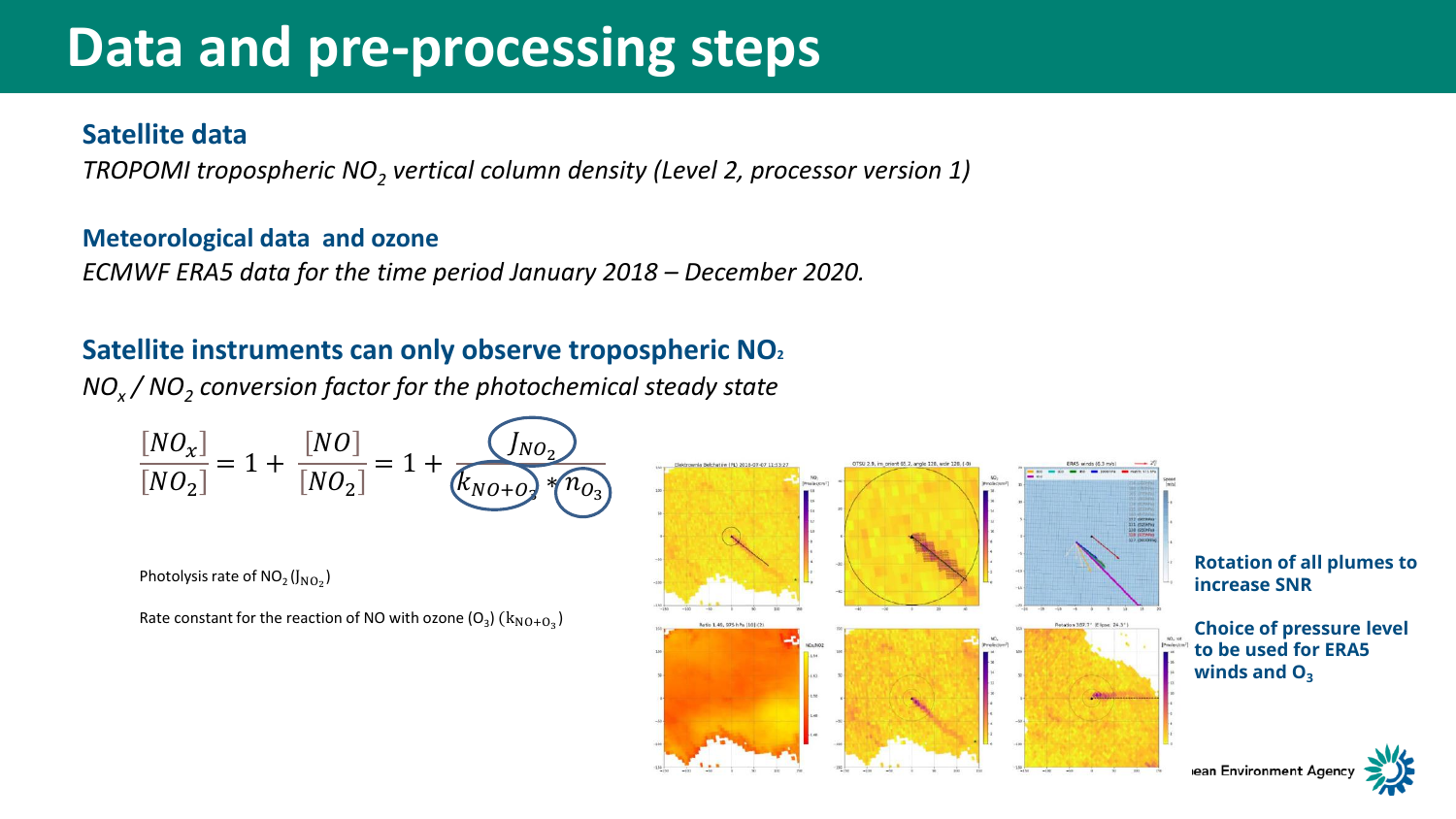# **Data an[d pre](#page-3-0)-processing steps**

#### **Satellite data**

*TROPOMI tropospheric NO<sup>2</sup> vertical column density (Level 2, processor version 1)* 

#### **Meteorological data and ozone**

*ECMWF ERA5 data for the time period January 2018 – December 2020.* 

#### **Satellite instruments can only observe tropospheric NO<sup>2</sup>**

*NO<sup>x</sup> / NO<sup>2</sup> conversion factor for the photochemical steady state*

$$
\frac{[NO_{X}]}{[NO_{2}]} = 1 + \frac{[NO]}{[NO_{2}]} = 1 + \frac{[NO_{2}]}{K_{NO+O_{2}} * n_{O_{3}}}
$$

Photolysis rate of  $NO_2(J_{NO_2})$ 

Rate constant for the reaction of NO with ozone  $(O_3)$   $(k_{NO+O_3})$ 

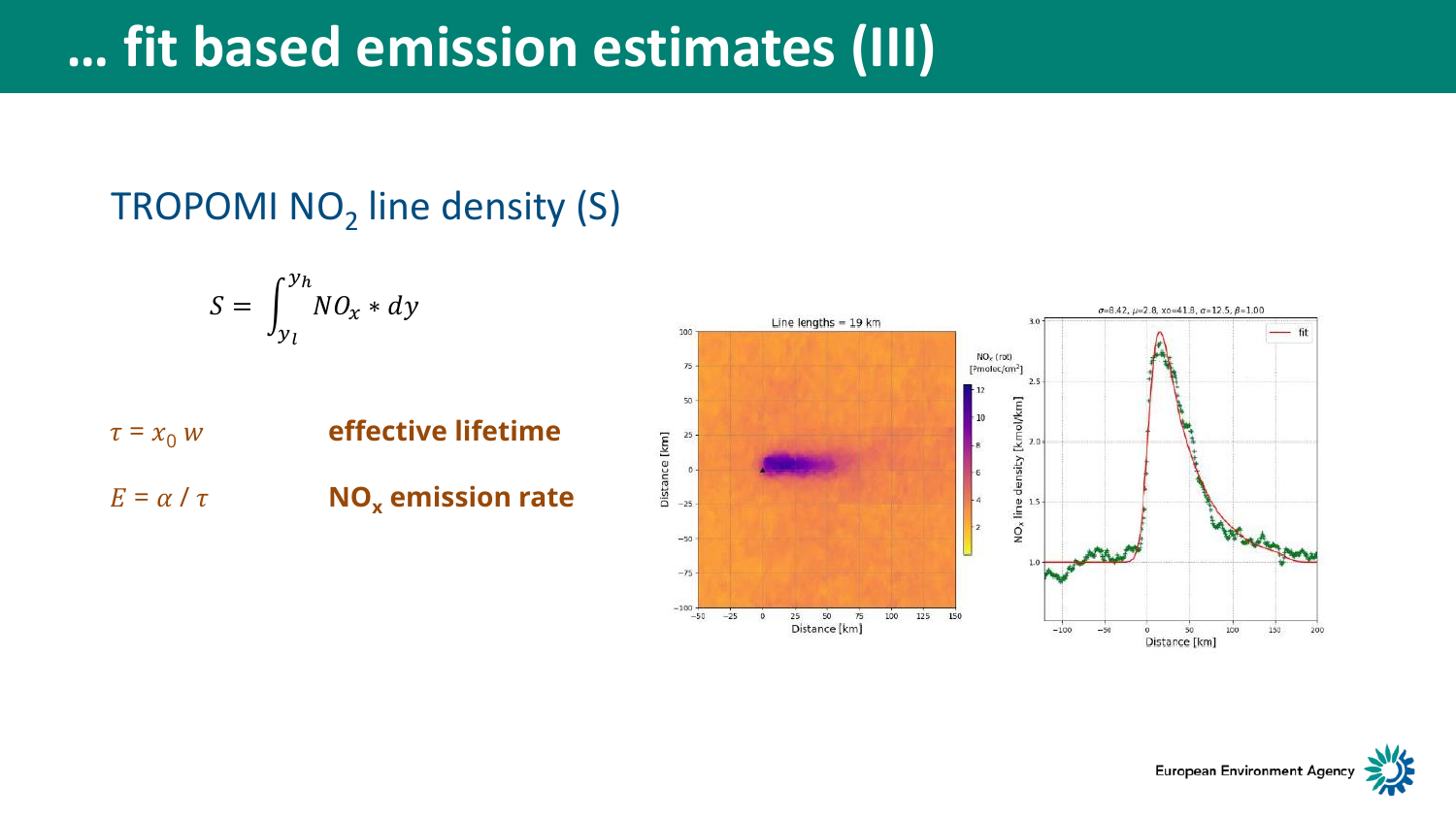# **… fit bas[ed e](#page-3-0)mission estimates (III)**

### TROPOMI NO<sub>2</sub> line density (S)

$$
S = \int_{y_l}^{y_h} NO_x * dy
$$

 $\tau = x_0 w$  effective lifetime  $E = \alpha / \tau$  **NO<sub>x</sub>** emission rate